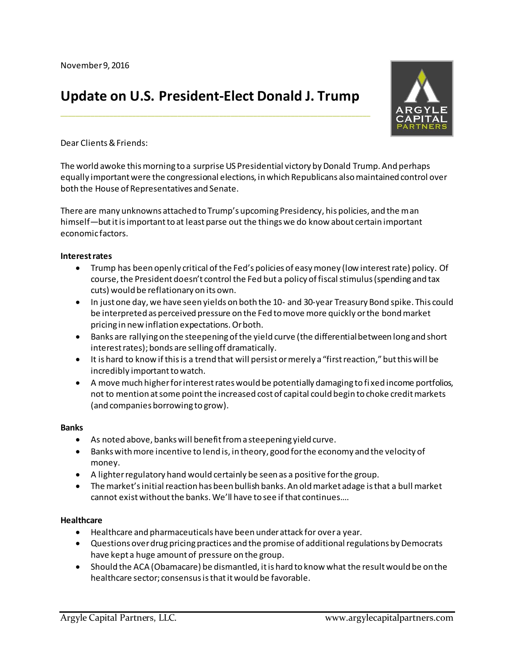# **Update on U.S. President-Elect Donald J. Trump**

**\_\_\_\_\_\_\_\_\_\_\_\_\_\_\_\_\_\_\_\_\_\_\_\_\_\_\_\_\_\_\_\_\_\_\_\_\_\_\_\_\_\_\_\_\_\_\_\_\_\_\_\_\_\_\_\_\_\_\_\_\_\_\_\_\_\_\_\_\_\_\_\_\_\_\_\_\_\_\_\_\_\_**



Dear Clients & Friends:

The world awoke this morning to a surprise US Presidential victory by Donald Trump. And perhaps equally important were the congressional elections, in which Republicans also maintained control over both the House of Representatives and Senate.

There are many unknowns attached to Trump's upcoming Presidency, his policies, and the man himself—but itis important to at least parse out the things we do know about certain important economic factors.

#### **Interest rates**

- Trump has been openly critical of the Fed's policies of easy money (low interest rate) policy. Of course, the President doesn't control the Fed but a policy of fiscal stimulus (spending and tax cuts) would be reflationary on its own.
- In just one day, we have seen yields on both the 10- and 30-year Treasury Bond spike. This could be interpreted as perceived pressure on the Fed to move more quickly or the bond market pricing in new inflation expectations. Or both.
- Banks are rallying on the steepening of the yield curve (the differential between long and short interest rates); bonds are selling off dramatically.
- It is hard to know if this is a trend that will persist or merely a "first reaction," but this will be incredibly important to watch.
- A move much higher for interest rates would be potentially damaging to fi xed income portfolios, not to mention at some point the increased cost of capital could begin to choke credit markets (and companies borrowing to grow).

#### **Banks**

- As noted above, banks will benefit from a steepening yield curve.
- Banks with more incentive to lend is, in theory, good for the economy and the velocity of money.
- A lighter regulatory hand would certainly be seen as a positive for the group.
- The market's initial reaction has been bullish banks. An old market adage is that a bull market cannot exist without the banks. We'll have to see if that continues….

#### **Healthcare**

- Healthcare and pharmaceuticals have been under attack for over a year.
- Questions over drug pricing practices and the promise of additional regulations by Democrats have kept a huge amount of pressure on the group.
- Should the ACA (Obamacare) be dismantled, it is hard to know what the result would be on the healthcare sector; consensus is that it would be favorable.